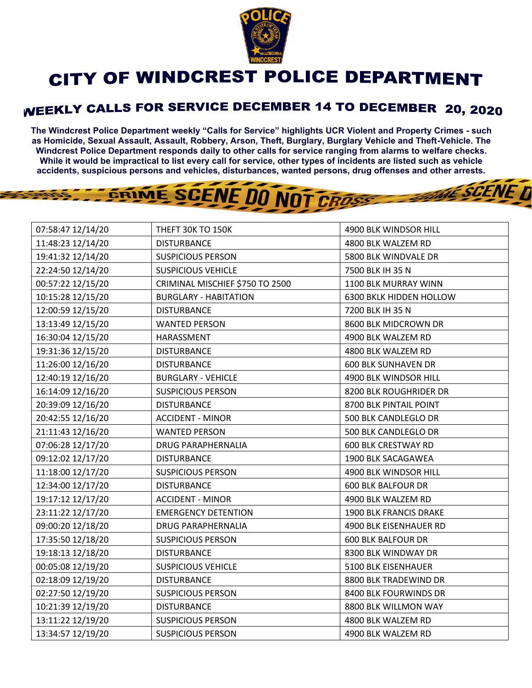

## CITY OF WINDCREST POLICE DEPARTMENT

## WEEKLY CALLS FOR SERVICE DECEMBER 14 TO DECEMBER 20, 2020

**The Windcrest Police Department weekly "Calls for Service" highlights UCR Violent and Property Crimes - such as Homicide, Sexual Assault, Assault, Robbery, Arson, Theft, Burglary, Burglary Vehicle and Theft-Vehicle. The Windcrest Police Department responds daily to other calls for service ranging from alarms to welfare checks. While it would be impractical to list every call for service, other types of incidents are listed such as vehicle accidents, suspicious persons and vehicles, disturbances, wanted persons, drug offenses and other arrests.** 

**THE SCENE D** 

## GRIME SCENE DO NOT CROSS

| 07:58:47 12/14/20 | THEFT 30K TO 150K               | 4900 BLK WINDSOR HILL      |
|-------------------|---------------------------------|----------------------------|
| 11:48:23 12/14/20 | <b>DISTURBANCE</b>              | 4800 BLK WALZEM RD         |
| 19:41:32 12/14/20 | <b>SUSPICIOUS PERSON</b>        | 5800 BLK WINDVALE DR       |
| 22:24:50 12/14/20 | <b>SUSPICIOUS VEHICLE</b>       | 7500 BLK IH 35 N           |
| 00:57:22 12/15/20 | CRIMINAL MISCHIEF \$750 TO 2500 | 1100 BLK MURRAY WINN       |
| 10:15:28 12/15/20 | <b>BURGLARY - HABITATION</b>    | 6300 BKLK HIDDEN HOLLOW    |
| 12:00:59 12/15/20 | <b>DISTURBANCE</b>              | 7200 BLK IH 35 N           |
| 13:13:49 12/15/20 | <b>WANTED PERSON</b>            | 8600 BLK MIDCROWN DR       |
| 16:30:04 12/15/20 | HARASSMENT                      | 4900 BLK WALZEM RD         |
| 19:31:36 12/15/20 | <b>DISTURBANCE</b>              | 4800 BLK WALZEM RD         |
| 11:26:00 12/16/20 | <b>DISTURBANCE</b>              | <b>600 BLK SUNHAVEN DR</b> |
| 12:40:19 12/16/20 | <b>BURGLARY - VEHICLE</b>       | 4900 BLK WINDSOR HILL      |
| 16:14:09 12/16/20 | <b>SUSPICIOUS PERSON</b>        | 8200 BLK ROUGHRIDER DR     |
| 20:39:09 12/16/20 | <b>DISTURBANCE</b>              | 8700 BLK PINTAIL POINT     |
| 20:42:55 12/16/20 | <b>ACCIDENT - MINOR</b>         | 500 BLK CANDLEGLO DR       |
| 21:11:43 12/16/20 | <b>WANTED PERSON</b>            | 500 BLK CANDLEGLO DR       |
| 07:06:28 12/17/20 | <b>DRUG PARAPHERNALIA</b>       | <b>600 BLK CRESTWAY RD</b> |
| 09:12:02 12/17/20 | <b>DISTURBANCE</b>              | 1900 BLK SACAGAWEA         |
| 11:18:00 12/17/20 | <b>SUSPICIOUS PERSON</b>        | 4900 BLK WINDSOR HILL      |
| 12:34:00 12/17/20 | <b>DISTURBANCE</b>              | <b>600 BLK BALFOUR DR</b>  |
| 19:17:12 12/17/20 | <b>ACCIDENT - MINOR</b>         | 4900 BLK WALZEM RD         |
| 23:11:22 12/17/20 | <b>EMERGENCY DETENTION</b>      | 1900 BLK FRANCIS DRAKE     |
| 09:00:20 12/18/20 | <b>DRUG PARAPHERNALIA</b>       | 4900 BLK EISENHAUER RD     |
| 17:35:50 12/18/20 | <b>SUSPICIOUS PERSON</b>        | <b>600 BLK BALFOUR DR</b>  |
| 19:18:13 12/18/20 | <b>DISTURBANCE</b>              | 8300 BLK WINDWAY DR        |
| 00:05:08 12/19/20 | <b>SUSPICIOUS VEHICLE</b>       | 5100 BLK EISENHAUER        |
| 02:18:09 12/19/20 | <b>DISTURBANCE</b>              | 8800 BLK TRADEWIND DR      |
| 02:27:50 12/19/20 | <b>SUSPICIOUS PERSON</b>        | 8400 BLK FOURWINDS DR      |
| 10:21:39 12/19/20 | <b>DISTURBANCE</b>              | 8800 BLK WILLMON WAY       |
| 13:11:22 12/19/20 | <b>SUSPICIOUS PERSON</b>        | 4800 BLK WALZEM RD         |
| 13:34:57 12/19/20 | <b>SUSPICIOUS PERSON</b>        | 4900 BLK WALZEM RD         |
|                   |                                 |                            |